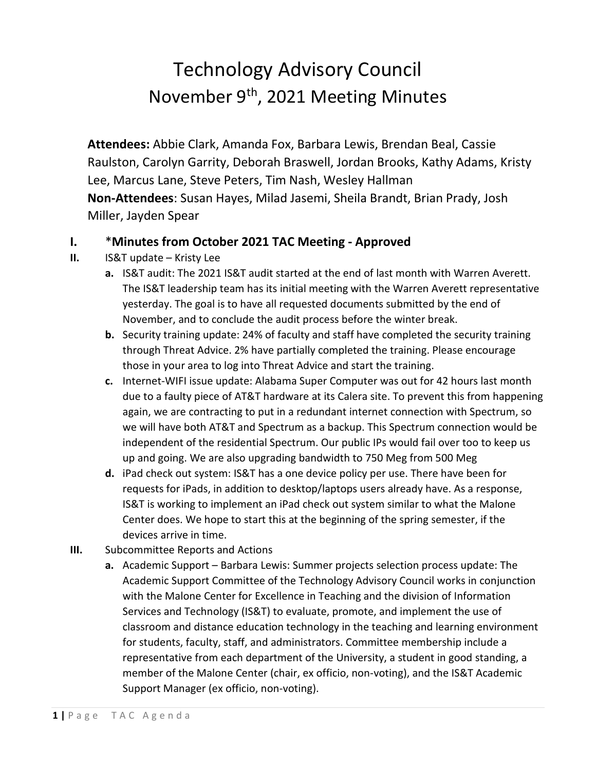## Technology Advisory Council November 9th, 2021 Meeting Minutes

**Attendees:** Abbie Clark, Amanda Fox, Barbara Lewis, Brendan Beal, Cassie Raulston, Carolyn Garrity, Deborah Braswell, Jordan Brooks, Kathy Adams, Kristy Lee, Marcus Lane, Steve Peters, Tim Nash, Wesley Hallman **Non-Attendees**: Susan Hayes, Milad Jasemi, Sheila Brandt, Brian Prady, Josh Miller, Jayden Spear

## **I.** \***Minutes from October 2021 TAC Meeting - Approved**

## **II.** IS&T update – Kristy Lee

- **a.** IS&T audit: The 2021 IS&T audit started at the end of last month with Warren Averett. The IS&T leadership team has its initial meeting with the Warren Averett representative yesterday. The goal is to have all requested documents submitted by the end of November, and to conclude the audit process before the winter break.
- **b.** Security training update: 24% of faculty and staff have completed the security training through Threat Advice. 2% have partially completed the training. Please encourage those in your area to log into Threat Advice and start the training.
- **c.** Internet-WIFI issue update: Alabama Super Computer was out for 42 hours last month due to a faulty piece of AT&T hardware at its Calera site. To prevent this from happening again, we are contracting to put in a redundant internet connection with Spectrum, so we will have both AT&T and Spectrum as a backup. This Spectrum connection would be independent of the residential Spectrum. Our public IPs would fail over too to keep us up and going. We are also upgrading bandwidth to 750 Meg from 500 Meg
- **d.** iPad check out system: IS&T has a one device policy per use. There have been for requests for iPads, in addition to desktop/laptops users already have. As a response, IS&T is working to implement an iPad check out system similar to what the Malone Center does. We hope to start this at the beginning of the spring semester, if the devices arrive in time.
- **III.** Subcommittee Reports and Actions
	- **a.** Academic Support Barbara Lewis: Summer projects selection process update: The Academic Support Committee of the Technology Advisory Council works in conjunction with the Malone Center for Excellence in Teaching and the division of Information Services and Technology (IS&T) to evaluate, promote, and implement the use of classroom and distance education technology in the teaching and learning environment for students, faculty, staff, and administrators. Committee membership include a representative from each department of the University, a student in good standing, a member of the Malone Center (chair, ex officio, non-voting), and the IS&T Academic Support Manager (ex officio, non-voting).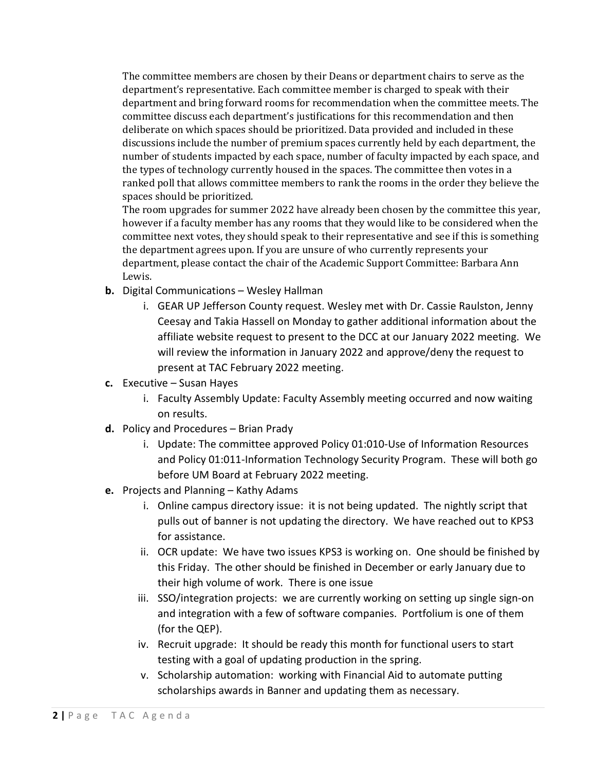The committee members are chosen by their Deans or department chairs to serve as the department's representative. Each committee member is charged to speak with their department and bring forward rooms for recommendation when the committee meets. The committee discuss each department's justifications for this recommendation and then deliberate on which spaces should be prioritized. Data provided and included in these discussions include the number of premium spaces currently held by each department, the number of students impacted by each space, number of faculty impacted by each space, and the types of technology currently housed in the spaces. The committee then votes in a ranked poll that allows committee members to rank the rooms in the order they believe the spaces should be prioritized.

The room upgrades for summer 2022 have already been chosen by the committee this year, however if a faculty member has any rooms that they would like to be considered when the committee next votes, they should speak to their representative and see if this is something the department agrees upon. If you are unsure of who currently represents your department, please contact the chair of the Academic Support Committee: Barbara Ann Lewis.

- **b.** Digital Communications Wesley Hallman
	- i. GEAR UP Jefferson County request. Wesley met with Dr. Cassie Raulston, Jenny Ceesay and Takia Hassell on Monday to gather additional information about the affiliate website request to present to the DCC at our January 2022 meeting. We will review the information in January 2022 and approve/deny the request to present at TAC February 2022 meeting.
- **c.** Executive Susan Hayes
	- i. Faculty Assembly Update: Faculty Assembly meeting occurred and now waiting on results.
- **d.** Policy and Procedures Brian Prady
	- i. Update: The committee approved Policy 01:010-Use of Information Resources and Policy 01:011-Information Technology Security Program. These will both go before UM Board at February 2022 meeting.
- **e.** Projects and Planning Kathy Adams
	- i. Online campus directory issue: it is not being updated. The nightly script that pulls out of banner is not updating the directory. We have reached out to KPS3 for assistance.
	- ii. OCR update: We have two issues KPS3 is working on. One should be finished by this Friday. The other should be finished in December or early January due to their high volume of work. There is one issue
	- iii. SSO/integration projects: we are currently working on setting up single sign-on and integration with a few of software companies. Portfolium is one of them (for the QEP).
	- iv. Recruit upgrade: It should be ready this month for functional users to start testing with a goal of updating production in the spring.
	- v. Scholarship automation: working with Financial Aid to automate putting scholarships awards in Banner and updating them as necessary.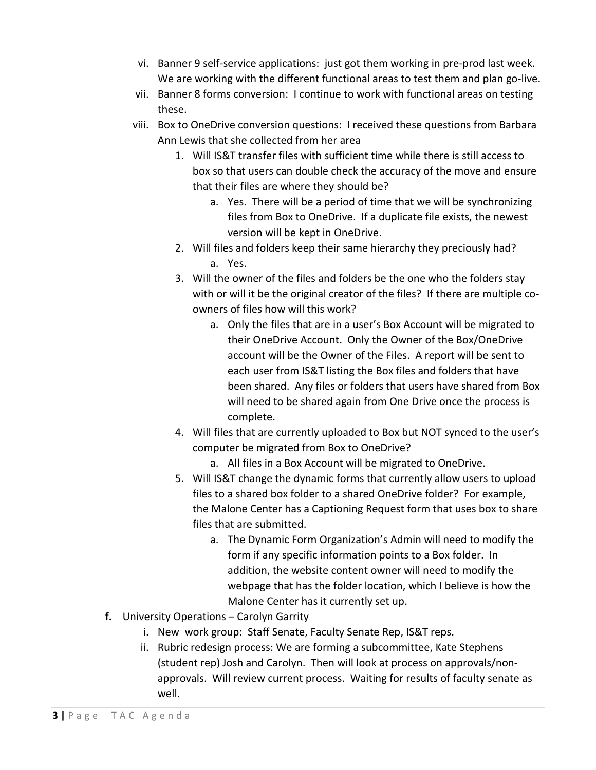- vi. Banner 9 self-service applications: just got them working in pre-prod last week. We are working with the different functional areas to test them and plan go-live.
- vii. Banner 8 forms conversion: I continue to work with functional areas on testing these.
- viii. Box to OneDrive conversion questions: I received these questions from Barbara Ann Lewis that she collected from her area
	- 1. Will IS&T transfer files with sufficient time while there is still access to box so that users can double check the accuracy of the move and ensure that their files are where they should be?
		- a. Yes. There will be a period of time that we will be synchronizing files from Box to OneDrive. If a duplicate file exists, the newest version will be kept in OneDrive.
	- 2. Will files and folders keep their same hierarchy they preciously had? a. Yes.
	- 3. Will the owner of the files and folders be the one who the folders stay with or will it be the original creator of the files? If there are multiple coowners of files how will this work?
		- a. Only the files that are in a user's Box Account will be migrated to their OneDrive Account. Only the Owner of the Box/OneDrive account will be the Owner of the Files. A report will be sent to each user from IS&T listing the Box files and folders that have been shared. Any files or folders that users have shared from Box will need to be shared again from One Drive once the process is complete.
	- 4. Will files that are currently uploaded to Box but NOT synced to the user's computer be migrated from Box to OneDrive?
		- a. All files in a Box Account will be migrated to OneDrive.
	- 5. Will IS&T change the dynamic forms that currently allow users to upload files to a shared box folder to a shared OneDrive folder? For example, the Malone Center has a Captioning Request form that uses box to share files that are submitted.
		- a. The Dynamic Form Organization's Admin will need to modify the form if any specific information points to a Box folder. In addition, the website content owner will need to modify the webpage that has the folder location, which I believe is how the Malone Center has it currently set up.
- **f.** University Operations Carolyn Garrity
	- i. New work group: Staff Senate, Faculty Senate Rep, IS&T reps.
	- ii. Rubric redesign process: We are forming a subcommittee, Kate Stephens (student rep) Josh and Carolyn. Then will look at process on approvals/nonapprovals. Will review current process. Waiting for results of faculty senate as well.